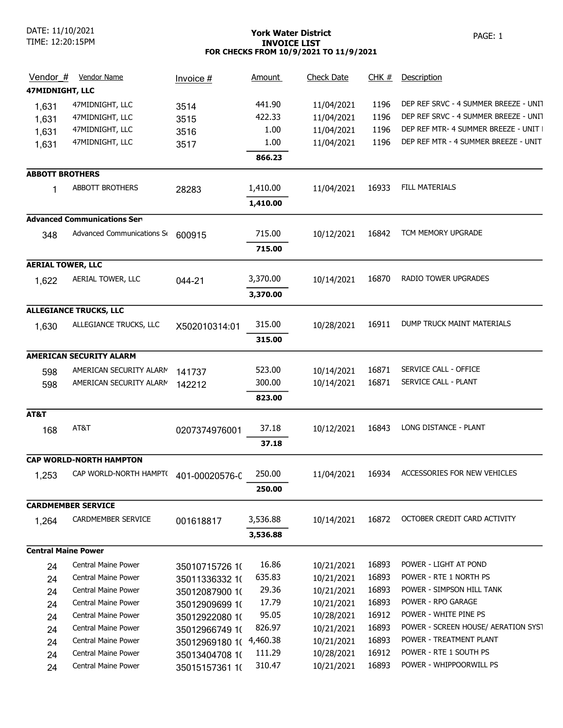# York Water District **PAGE: 1** INVOICE LIST FOR CHECKS FROM 10/9/2021 TO 11/9/2021

| Vendor #                   | Vendor Name                           | Invoice #               | <b>Amount</b> | <b>Check Date</b> | CHK#  | Description                           |
|----------------------------|---------------------------------------|-------------------------|---------------|-------------------|-------|---------------------------------------|
| 47MIDNIGHT, LLC            |                                       |                         |               |                   |       |                                       |
| 1,631                      | 47MIDNIGHT, LLC                       | 3514                    | 441.90        | 11/04/2021        | 1196  | DEP REF SRVC - 4 SUMMER BREEZE - UNIT |
| 1,631                      | 47MIDNIGHT, LLC                       | 3515                    | 422.33        | 11/04/2021        | 1196  | DEP REF SRVC - 4 SUMMER BREEZE - UNIT |
| 1,631                      | 47MIDNIGHT, LLC                       | 3516                    | 1.00          | 11/04/2021        | 1196  | DEP REF MTR- 4 SUMMER BREEZE - UNIT I |
| 1,631                      | 47MIDNIGHT, LLC                       | 3517                    | 1.00          | 11/04/2021        | 1196  | DEP REF MTR - 4 SUMMER BREEZE - UNIT  |
|                            |                                       |                         | 866.23        |                   |       |                                       |
| <b>ABBOTT BROTHERS</b>     |                                       |                         |               |                   |       |                                       |
| 1                          | ABBOTT BROTHERS                       | 28283                   | 1,410.00      | 11/04/2021        | 16933 | <b>FILL MATERIALS</b>                 |
|                            |                                       |                         | 1,410.00      |                   |       |                                       |
|                            | <b>Advanced Communications Serves</b> |                         |               |                   |       |                                       |
|                            |                                       |                         |               |                   |       | TCM MEMORY UPGRADE                    |
| 348                        | Advanced Communications S             | 600915                  | 715.00        | 10/12/2021        | 16842 |                                       |
|                            |                                       |                         | 715.00        |                   |       |                                       |
| <b>AERIAL TOWER, LLC</b>   |                                       |                         |               |                   |       |                                       |
| 1,622                      | AERIAL TOWER, LLC                     | 044-21                  | 3,370.00      | 10/14/2021        | 16870 | RADIO TOWER UPGRADES                  |
|                            |                                       |                         | 3,370.00      |                   |       |                                       |
|                            | <b>ALLEGIANCE TRUCKS, LLC</b>         |                         |               |                   |       |                                       |
| 1,630                      | ALLEGIANCE TRUCKS, LLC                | X502010314:01           | 315.00        | 10/28/2021        | 16911 | DUMP TRUCK MAINT MATERIALS            |
|                            |                                       |                         | 315.00        |                   |       |                                       |
|                            | <b>AMERICAN SECURITY ALARM</b>        |                         |               |                   |       |                                       |
|                            |                                       |                         |               |                   | 16871 | SERVICE CALL - OFFICE                 |
| 598                        | AMERICAN SECURITY ALARM               | 141737                  | 523.00        | 10/14/2021        | 16871 | SERVICE CALL - PLANT                  |
| 598                        | AMERICAN SECURITY ALARM               | 142212                  | 300.00        | 10/14/2021        |       |                                       |
|                            |                                       |                         | 823.00        |                   |       |                                       |
| AT&T                       |                                       |                         |               |                   |       |                                       |
| 168                        | AT&T                                  | 0207374976001           | 37.18         | 10/12/2021        | 16843 | LONG DISTANCE - PLANT                 |
|                            |                                       |                         | 37.18         |                   |       |                                       |
|                            | <b>CAP WORLD-NORTH HAMPTON</b>        |                         |               |                   |       |                                       |
| 1,253                      | CAP WORLD-NORTH HAMPT(                | 401-00020576-0          | 250.00        | 11/04/2021        | 16934 | ACCESSORIES FOR NEW VEHICLES          |
|                            |                                       |                         | 250.00        |                   |       |                                       |
|                            | <b>CARDMEMBER SERVICE</b>             |                         |               |                   |       |                                       |
|                            | CARDMEMBER SERVICE                    |                         | 3,536.88      | 10/14/2021        | 16872 | OCTOBER CREDIT CARD ACTIVITY          |
| 1,264                      |                                       | 001618817               |               |                   |       |                                       |
|                            |                                       |                         | 3,536.88      |                   |       |                                       |
| <b>Central Maine Power</b> |                                       |                         |               |                   |       |                                       |
| 24                         | <b>Central Maine Power</b>            | 35010715726 10          | 16.86         | 10/21/2021        | 16893 | POWER - LIGHT AT POND                 |
| 24                         | Central Maine Power                   | 35011336332 10          | 635.83        | 10/21/2021        | 16893 | POWER - RTE 1 NORTH PS                |
| 24                         | Central Maine Power                   | 35012087900 10          | 29.36         | 10/21/2021        | 16893 | POWER - SIMPSON HILL TANK             |
| 24                         | Central Maine Power                   | 35012909699 10          | 17.79         | 10/21/2021        | 16893 | POWER - RPO GARAGE                    |
| 24                         | Central Maine Power                   | 35012922080 10          | 95.05         | 10/28/2021        | 16912 | POWER - WHITE PINE PS                 |
| 24                         | Central Maine Power                   | 35012966749 10          | 826.97        | 10/21/2021        | 16893 | POWER - SCREEN HOUSE/ AERATION SYST   |
| 24                         | Central Maine Power                   | 35012969180 1( 4,460.38 |               | 10/21/2021        | 16893 | POWER - TREATMENT PLANT               |
| 24                         | Central Maine Power                   | 35013404708 10          | 111.29        | 10/28/2021        | 16912 | POWER - RTE 1 SOUTH PS                |
| 24                         | Central Maine Power                   | 35015157361 10          | 310.47        | 10/21/2021        | 16893 | POWER - WHIPPOORWILL PS               |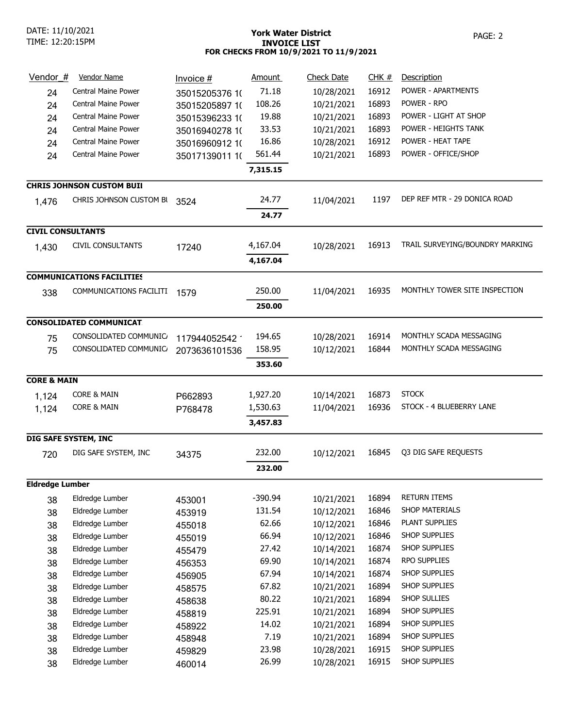## York Water District **PAGE: 2** INVOICE LIST FOR CHECKS FROM 10/9/2021 TO 11/9/2021

| Vendor $#$               | <b>Vendor Name</b>               | $Invoice#$     | <b>Amount</b> | <b>Check Date</b> | <u>CHK #</u> | Description                     |
|--------------------------|----------------------------------|----------------|---------------|-------------------|--------------|---------------------------------|
| 24                       | <b>Central Maine Power</b>       | 35015205376 10 | 71.18         | 10/28/2021        | 16912        | POWER - APARTMENTS              |
| 24                       | Central Maine Power              | 35015205897 10 | 108.26        | 10/21/2021        | 16893        | POWER - RPO                     |
| 24                       | Central Maine Power              | 35015396233 10 | 19.88         | 10/21/2021        | 16893        | POWER - LIGHT AT SHOP           |
| 24                       | Central Maine Power              | 35016940278 10 | 33.53         | 10/21/2021        | 16893        | POWER - HEIGHTS TANK            |
| 24                       | <b>Central Maine Power</b>       | 35016960912 10 | 16.86         | 10/28/2021        | 16912        | POWER - HEAT TAPE               |
| 24                       | <b>Central Maine Power</b>       | 35017139011 1( | 561.44        | 10/21/2021        | 16893        | POWER - OFFICE/SHOP             |
|                          |                                  |                | 7,315.15      |                   |              |                                 |
|                          | <b>CHRIS JOHNSON CUSTOM BUIL</b> |                |               |                   |              |                                 |
| 1,476                    | CHRIS JOHNSON CUSTOM BI          | 3524           | 24.77         | 11/04/2021        | 1197         | DEP REF MTR - 29 DONICA ROAD    |
|                          |                                  |                | 24.77         |                   |              |                                 |
| <b>CIVIL CONSULTANTS</b> |                                  |                |               |                   |              |                                 |
| 1,430                    | <b>CIVIL CONSULTANTS</b>         | 17240          | 4,167.04      | 10/28/2021        | 16913        | TRAIL SURVEYING/BOUNDRY MARKING |
|                          |                                  |                | 4,167.04      |                   |              |                                 |
|                          | <b>COMMUNICATIONS FACILITIES</b> |                |               |                   |              |                                 |
| 338                      | COMMUNICATIONS FACILITI          | 1579           | 250.00        | 11/04/2021        | 16935        | MONTHLY TOWER SITE INSPECTION   |
|                          |                                  |                | 250.00        |                   |              |                                 |
|                          | <b>CONSOLIDATED COMMUNICAT</b>   |                |               |                   |              |                                 |
| 75                       | CONSOLIDATED COMMUNIC            | 117944052542 1 | 194.65        | 10/28/2021        | 16914        | MONTHLY SCADA MESSAGING         |
| 75                       | CONSOLIDATED COMMUNIC            | 2073636101536  | 158.95        | 10/12/2021        | 16844        | MONTHLY SCADA MESSAGING         |
|                          |                                  |                | 353.60        |                   |              |                                 |
| <b>CORE &amp; MAIN</b>   |                                  |                |               |                   |              |                                 |
| 1,124                    | <b>CORE &amp; MAIN</b>           | P662893        | 1,927.20      | 10/14/2021        | 16873        | <b>STOCK</b>                    |
| 1,124                    | <b>CORE &amp; MAIN</b>           | P768478        | 1,530.63      | 11/04/2021        | 16936        | STOCK - 4 BLUEBERRY LANE        |
|                          |                                  |                | 3,457.83      |                   |              |                                 |
|                          | DIG SAFE SYSTEM, INC             |                |               |                   |              |                                 |
| 720                      | DIG SAFE SYSTEM, INC             | 34375          | 232.00        | 10/12/2021        | 16845        | Q3 DIG SAFE REQUESTS            |
|                          |                                  |                | 232.00        |                   |              |                                 |
| <b>Eldredge Lumber</b>   |                                  |                |               |                   |              |                                 |
| 38                       | Eldredge Lumber                  | 453001         | $-390.94$     | 10/21/2021        | 16894        | RETURN ITEMS                    |
| 38                       | Eldredge Lumber                  | 453919         | 131.54        | 10/12/2021        | 16846        | <b>SHOP MATERIALS</b>           |
| 38                       | Eldredge Lumber                  | 455018         | 62.66         | 10/12/2021        | 16846        | PLANT SUPPLIES                  |
| 38                       | Eldredge Lumber                  | 455019         | 66.94         | 10/12/2021        | 16846        | SHOP SUPPLIES                   |
| 38                       | Eldredge Lumber                  | 455479         | 27.42         | 10/14/2021        | 16874        | SHOP SUPPLIES                   |
| 38                       | Eldredge Lumber                  | 456353         | 69.90         | 10/14/2021        | 16874        | RPO SUPPLIES                    |
| 38                       | Eldredge Lumber                  | 456905         | 67.94         | 10/14/2021        | 16874        | SHOP SUPPLIES                   |
| 38                       | Eldredge Lumber                  | 458575         | 67.82         | 10/21/2021        | 16894        | SHOP SUPPLIES                   |
| 38                       | Eldredge Lumber                  | 458638         | 80.22         | 10/21/2021        | 16894        | SHOP SULLIES                    |
| 38                       | Eldredge Lumber                  | 458819         | 225.91        | 10/21/2021        | 16894        | SHOP SUPPLIES                   |
| 38                       | Eldredge Lumber                  | 458922         | 14.02         | 10/21/2021        | 16894        | SHOP SUPPLIES                   |
| 38                       | Eldredge Lumber                  | 458948         | 7.19          | 10/21/2021        | 16894        | SHOP SUPPLIES                   |
| 38                       | Eldredge Lumber                  | 459829         | 23.98         | 10/28/2021        | 16915        | SHOP SUPPLIES                   |
| 38                       | Eldredge Lumber                  | 460014         | 26.99         | 10/28/2021        | 16915        | SHOP SUPPLIES                   |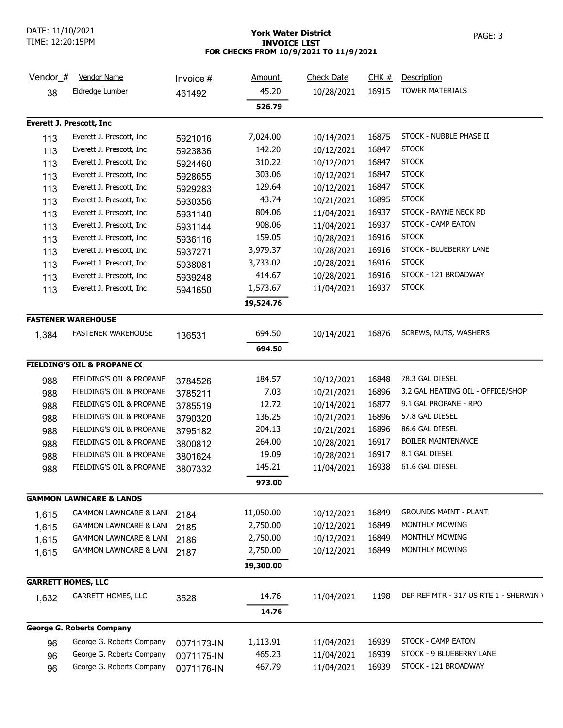DATE: 11/10/2021 TIME: 12:20:15PM

#### York Water District **PAGE: 3** INVOICE LIST FOR CHECKS FROM 10/9/2021 TO 11/9/2021

| Vendor $#$                      | <b>Vendor Name</b>                     | <u>Invoice #</u> | <u>Amount</u> | <b>Check Date</b> | CHK#  | Description                            |
|---------------------------------|----------------------------------------|------------------|---------------|-------------------|-------|----------------------------------------|
| 38                              | Eldredge Lumber                        | 461492           | 45.20         | 10/28/2021        | 16915 | <b>TOWER MATERIALS</b>                 |
|                                 |                                        |                  | 526.79        |                   |       |                                        |
| <b>Everett J. Prescott, Inc</b> |                                        |                  |               |                   |       |                                        |
| 113                             | Everett J. Prescott, Inc               | 5921016          | 7,024.00      | 10/14/2021        | 16875 | STOCK - NUBBLE PHASE II                |
| 113                             | Everett J. Prescott, Inc.              | 5923836          | 142.20        | 10/12/2021        | 16847 | <b>STOCK</b>                           |
| 113                             | Everett J. Prescott, Inc.              | 5924460          | 310.22        | 10/12/2021        | 16847 | <b>STOCK</b>                           |
| 113                             | Everett J. Prescott, Inc.              | 5928655          | 303.06        | 10/12/2021        | 16847 | <b>STOCK</b>                           |
| 113                             | Everett J. Prescott, Inc               | 5929283          | 129.64        | 10/12/2021        | 16847 | <b>STOCK</b>                           |
| 113                             | Everett J. Prescott, Inc.              | 5930356          | 43.74         | 10/21/2021        | 16895 | <b>STOCK</b>                           |
| 113                             | Everett J. Prescott, Inc.              | 5931140          | 804.06        | 11/04/2021        | 16937 | STOCK - RAYNE NECK RD                  |
| 113                             | Everett J. Prescott, Inc               | 5931144          | 908.06        | 11/04/2021        | 16937 | STOCK - CAMP EATON                     |
| 113                             | Everett J. Prescott, Inc.              | 5936116          | 159.05        | 10/28/2021        | 16916 | <b>STOCK</b>                           |
| 113                             | Everett J. Prescott, Inc.              | 5937271          | 3,979.37      | 10/28/2021        | 16916 | STOCK - BLUEBERRY LANE                 |
| 113                             | Everett J. Prescott, Inc.              | 5938081          | 3,733.02      | 10/28/2021        | 16916 | <b>STOCK</b>                           |
| 113                             | Everett J. Prescott, Inc.              | 5939248          | 414.67        | 10/28/2021        | 16916 | STOCK - 121 BROADWAY                   |
| 113                             | Everett J. Prescott, Inc               | 5941650          | 1,573.67      | 11/04/2021        | 16937 | <b>STOCK</b>                           |
|                                 |                                        |                  | 19,524.76     |                   |       |                                        |
|                                 | <b>FASTENER WAREHOUSE</b>              |                  |               |                   |       |                                        |
| 1,384                           | <b>FASTENER WAREHOUSE</b>              | 136531           | 694.50        | 10/14/2021        | 16876 | SCREWS, NUTS, WASHERS                  |
|                                 |                                        |                  | 694.50        |                   |       |                                        |
|                                 | <b>FIELDING'S OIL &amp; PROPANE CO</b> |                  |               |                   |       |                                        |
| 988                             | FIELDING'S OIL & PROPANE               | 3784526          | 184.57        | 10/12/2021        | 16848 | 78.3 GAL DIESEL                        |
| 988                             | FIELDING'S OIL & PROPANE               | 3785211          | 7.03          | 10/21/2021        | 16896 | 3.2 GAL HEATING OIL - OFFICE/SHOP      |
| 988                             | FIELDING'S OIL & PROPANE               | 3785519          | 12.72         | 10/14/2021        | 16877 | 9.1 GAL PROPANE - RPO                  |
| 988                             | FIELDING'S OIL & PROPANE               | 3790320          | 136.25        | 10/21/2021        | 16896 | 57.8 GAL DIESEL                        |
| 988                             | FIELDING'S OIL & PROPANE               | 3795182          | 204.13        | 10/21/2021        | 16896 | 86.6 GAL DIESEL                        |
| 988                             | FIELDING'S OIL & PROPANE               | 3800812          | 264.00        | 10/28/2021        | 16917 | <b>BOILER MAINTENANCE</b>              |
| 988                             | FIELDING'S OIL & PROPANE               | 3801624          | 19.09         | 10/28/2021        | 16917 | 8.1 GAL DIESEL                         |
| 988                             | FIELDING'S OIL & PROPANE               | 3807332          | 145.21        | 11/04/2021        | 16938 | 61.6 GAL DIESEL                        |
|                                 |                                        |                  | 973.00        |                   |       |                                        |
|                                 | <b>GAMMON LAWNCARE &amp; LANDS</b>     |                  |               |                   |       |                                        |
| 1,615                           | <b>GAMMON LAWNCARE &amp; LANI</b>      | 2184             | 11,050.00     | 10/12/2021        | 16849 | <b>GROUNDS MAINT - PLANT</b>           |
| 1,615                           | <b>GAMMON LAWNCARE &amp; LANI</b>      | 2185             | 2,750.00      | 10/12/2021        | 16849 | MONTHLY MOWING                         |
| 1,615                           | <b>GAMMON LAWNCARE &amp; LANI</b>      | 2186             | 2,750.00      | 10/12/2021        | 16849 | MONTHLY MOWING                         |
| 1,615                           | <b>GAMMON LAWNCARE &amp; LANI</b>      | 2187             | 2,750.00      | 10/12/2021        | 16849 | MONTHLY MOWING                         |
|                                 |                                        |                  | 19,300.00     |                   |       |                                        |
| <b>GARRETT HOMES, LLC</b>       |                                        |                  |               |                   |       |                                        |
| 1,632                           | GARRETT HOMES, LLC                     | 3528             | 14.76         | 11/04/2021        | 1198  | DEP REF MTR - 317 US RTE 1 - SHERWIN \ |
|                                 |                                        |                  | 14.76         |                   |       |                                        |
|                                 | <b>George G. Roberts Company</b>       |                  |               |                   |       |                                        |
| 96                              | George G. Roberts Company              | 0071173-IN       | 1,113.91      | 11/04/2021        | 16939 | STOCK - CAMP EATON                     |
| 96                              | George G. Roberts Company              | 0071175-IN       | 465.23        | 11/04/2021        | 16939 | STOCK - 9 BLUEBERRY LANE               |
| 96                              | George G. Roberts Company              | 0071176-IN       | 467.79        | 11/04/2021        | 16939 | STOCK - 121 BROADWAY                   |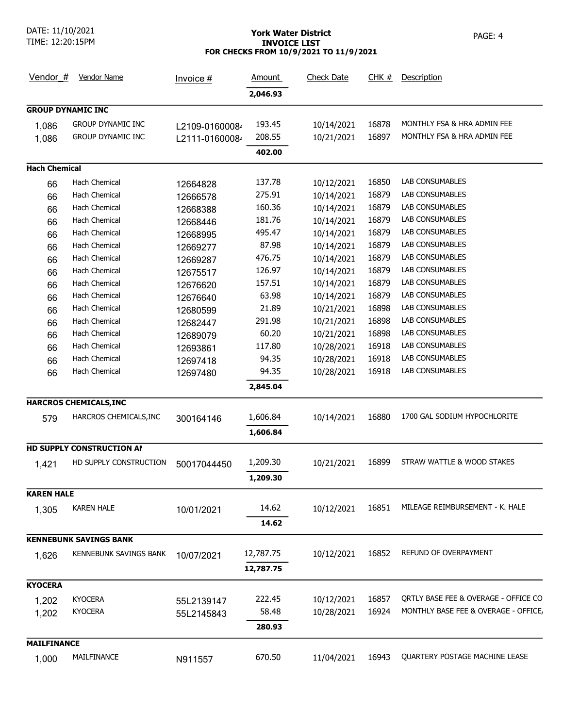DATE: 11/10/2021

# TIME: 12:20:15PM

## York Water District **PAGE: 4** INVOICE LIST FOR CHECKS FROM 10/9/2021 TO 11/9/2021

| Vendor $#$               | <b>Vendor Name</b>            | Invoice #      | <u>Amount</u> | <b>Check Date</b> | CHK#  | Description                          |
|--------------------------|-------------------------------|----------------|---------------|-------------------|-------|--------------------------------------|
|                          |                               |                | 2,046.93      |                   |       |                                      |
| <b>GROUP DYNAMIC INC</b> |                               |                |               |                   |       |                                      |
| 1,086                    | <b>GROUP DYNAMIC INC</b>      | L2109-01600084 | 193.45        | 10/14/2021        | 16878 | MONTHLY FSA & HRA ADMIN FEE          |
| 1,086                    | <b>GROUP DYNAMIC INC</b>      | L2111-01600084 | 208.55        | 10/21/2021        | 16897 | MONTHLY FSA & HRA ADMIN FEE          |
|                          |                               |                | 402.00        |                   |       |                                      |
| <b>Hach Chemical</b>     |                               |                |               |                   |       |                                      |
| 66                       | <b>Hach Chemical</b>          | 12664828       | 137.78        | 10/12/2021        | 16850 | LAB CONSUMABLES                      |
| 66                       | Hach Chemical                 | 12666578       | 275.91        | 10/14/2021        | 16879 | LAB CONSUMABLES                      |
| 66                       | Hach Chemical                 | 12668388       | 160.36        | 10/14/2021        | 16879 | LAB CONSUMABLES                      |
| 66                       | Hach Chemical                 | 12668446       | 181.76        | 10/14/2021        | 16879 | <b>LAB CONSUMABLES</b>               |
| 66                       | Hach Chemical                 | 12668995       | 495.47        | 10/14/2021        | 16879 | LAB CONSUMABLES                      |
| 66                       | Hach Chemical                 | 12669277       | 87.98         | 10/14/2021        | 16879 | LAB CONSUMABLES                      |
| 66                       | Hach Chemical                 | 12669287       | 476.75        | 10/14/2021        | 16879 | LAB CONSUMABLES                      |
| 66                       | Hach Chemical                 | 12675517       | 126.97        | 10/14/2021        | 16879 | LAB CONSUMABLES                      |
| 66                       | Hach Chemical                 | 12676620       | 157.51        | 10/14/2021        | 16879 | LAB CONSUMABLES                      |
| 66                       | Hach Chemical                 | 12676640       | 63.98         | 10/14/2021        | 16879 | LAB CONSUMABLES                      |
| 66                       | Hach Chemical                 |                | 21.89         | 10/21/2021        | 16898 | LAB CONSUMABLES                      |
| 66                       | Hach Chemical                 | 12680599       | 291.98        | 10/21/2021        | 16898 | LAB CONSUMABLES                      |
|                          | Hach Chemical                 | 12682447       | 60.20         | 10/21/2021        | 16898 | LAB CONSUMABLES                      |
| 66<br>66                 | Hach Chemical                 | 12689079       | 117.80        | 10/28/2021        | 16918 | LAB CONSUMABLES                      |
|                          | Hach Chemical                 | 12693861       | 94.35         | 10/28/2021        | 16918 | LAB CONSUMABLES                      |
| 66                       | Hach Chemical                 | 12697418       | 94.35         | 10/28/2021        | 16918 | LAB CONSUMABLES                      |
| 66                       |                               | 12697480       | 2,845.04      |                   |       |                                      |
|                          |                               |                |               |                   |       |                                      |
|                          | HARCROS CHEMICALS, INC        |                |               |                   |       |                                      |
| 579                      | HARCROS CHEMICALS, INC        | 300164146      | 1,606.84      | 10/14/2021        | 16880 | 1700 GAL SODIUM HYPOCHLORITE         |
|                          |                               |                | 1,606.84      |                   |       |                                      |
|                          | HD SUPPLY CONSTRUCTION AN     |                |               |                   |       |                                      |
| 1,421                    | HD SUPPLY CONSTRUCTION        | 50017044450    | 1,209.30      | 10/21/2021        | 16899 | STRAW WATTLE & WOOD STAKES           |
|                          |                               |                | 1,209.30      |                   |       |                                      |
| <b>KAREN HALE</b>        |                               |                |               |                   |       |                                      |
| 1,305                    | <b>KAREN HALE</b>             | 10/01/2021     | 14.62         | 10/12/2021        | 16851 | MILEAGE REIMBURSEMENT - K. HALE      |
|                          |                               |                | 14.62         |                   |       |                                      |
|                          | <b>KENNEBUNK SAVINGS BANK</b> |                |               |                   |       |                                      |
| 1,626                    | <b>KENNEBUNK SAVINGS BANK</b> | 10/07/2021     | 12,787.75     | 10/12/2021        | 16852 | REFUND OF OVERPAYMENT                |
|                          |                               |                | 12,787.75     |                   |       |                                      |
| <b>KYOCERA</b>           |                               |                |               |                   |       |                                      |
| 1,202                    | <b>KYOCERA</b>                | 55L2139147     | 222.45        | 10/12/2021        | 16857 | ORTLY BASE FEE & OVERAGE - OFFICE CO |
| 1,202                    | <b>KYOCERA</b>                | 55L2145843     | 58.48         | 10/28/2021        | 16924 | MONTHLY BASE FEE & OVERAGE - OFFICE  |
|                          |                               |                | 280.93        |                   |       |                                      |
| <b>MAILFINANCE</b>       |                               |                |               |                   |       |                                      |
| 1,000                    | MAILFINANCE                   | N911557        | 670.50        | 11/04/2021        | 16943 | QUARTERY POSTAGE MACHINE LEASE       |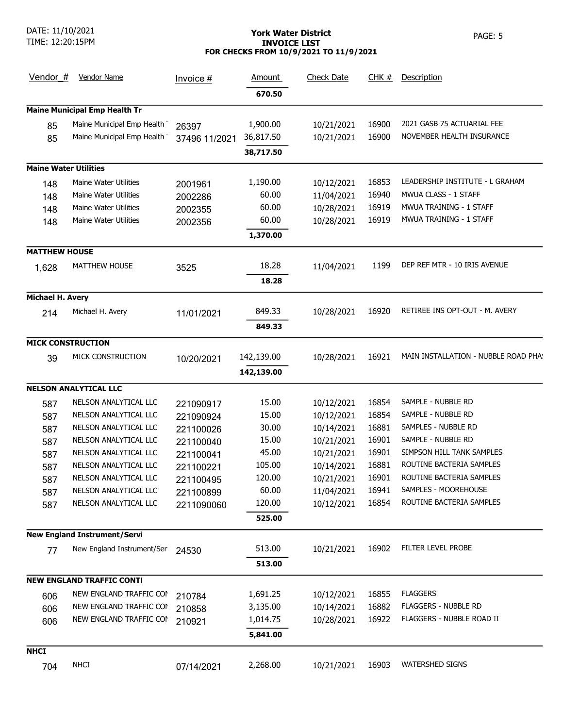# York Water District **PAGE: 5** INVOICE LIST FOR CHECKS FROM 10/9/2021 TO 11/9/2021

| Vendor $#$                   | <b>Vendor Name</b>                   | Invoice $#$   | <u>Amount</u> | <b>Check Date</b> | CHK#  | Description                          |
|------------------------------|--------------------------------------|---------------|---------------|-------------------|-------|--------------------------------------|
|                              |                                      |               | 670.50        |                   |       |                                      |
|                              | <b>Maine Municipal Emp Health Tr</b> |               |               |                   |       |                                      |
| 85                           | Maine Municipal Emp Health           | 26397         | 1,900.00      | 10/21/2021        | 16900 | 2021 GASB 75 ACTUARIAL FEE           |
| 85                           | Maine Municipal Emp Health           | 37496 11/2021 | 36,817.50     | 10/21/2021        | 16900 | NOVEMBER HEALTH INSURANCE            |
|                              |                                      |               | 38,717.50     |                   |       |                                      |
| <b>Maine Water Utilities</b> |                                      |               |               |                   |       |                                      |
| 148                          | Maine Water Utilities                | 2001961       | 1,190.00      | 10/12/2021        | 16853 | LEADERSHIP INSTITUTE - L GRAHAM      |
| 148                          | <b>Maine Water Utilities</b>         | 2002286       | 60.00         | 11/04/2021        | 16940 | <b>MWUA CLASS - 1 STAFF</b>          |
| 148                          | Maine Water Utilities                | 2002355       | 60.00         | 10/28/2021        | 16919 | MWUA TRAINING - 1 STAFF              |
| 148                          | Maine Water Utilities                | 2002356       | 60.00         | 10/28/2021        | 16919 | MWUA TRAINING - 1 STAFF              |
|                              |                                      |               | 1,370.00      |                   |       |                                      |
| <b>MATTHEW HOUSE</b>         |                                      |               |               |                   |       |                                      |
| 1,628                        | <b>MATTHEW HOUSE</b>                 | 3525          | 18.28         | 11/04/2021        | 1199  | DEP REF MTR - 10 IRIS AVENUE         |
|                              |                                      |               | 18.28         |                   |       |                                      |
| Michael H. Avery             |                                      |               |               |                   |       |                                      |
| 214                          | Michael H. Avery                     | 11/01/2021    | 849.33        | 10/28/2021        | 16920 | RETIREE INS OPT-OUT - M. AVERY       |
|                              |                                      |               | 849.33        |                   |       |                                      |
| <b>MICK CONSTRUCTION</b>     |                                      |               |               |                   |       |                                      |
| 39                           | MICK CONSTRUCTION                    | 10/20/2021    | 142,139.00    | 10/28/2021        | 16921 | MAIN INSTALLATION - NUBBLE ROAD PHA! |
|                              |                                      |               | 142,139.00    |                   |       |                                      |
|                              | <b>NELSON ANALYTICAL LLC</b>         |               |               |                   |       |                                      |
| 587                          | NELSON ANALYTICAL LLC                | 221090917     | 15.00         | 10/12/2021        | 16854 | SAMPLE - NUBBLE RD                   |
| 587                          | NELSON ANALYTICAL LLC                | 221090924     | 15.00         | 10/12/2021        | 16854 | SAMPLE - NUBBLE RD                   |
| 587                          | NELSON ANALYTICAL LLC                | 221100026     | 30.00         | 10/14/2021        | 16881 | SAMPLES - NUBBLE RD                  |
| 587                          | NELSON ANALYTICAL LLC                | 221100040     | 15.00         | 10/21/2021        | 16901 | SAMPLE - NUBBLE RD                   |
| 587                          | NELSON ANALYTICAL LLC                | 221100041     | 45.00         | 10/21/2021        | 16901 | SIMPSON HILL TANK SAMPLES            |
| 587                          | NELSON ANALYTICAL LLC                | 221100221     | 105.00        | 10/14/2021        | 16881 | ROUTINE BACTERIA SAMPLES             |
| 587                          | NELSON ANALYTICAL LLC                | 221100495     | 120.00        | 10/21/2021        | 16901 | ROUTINE BACTERIA SAMPLES             |
| 587                          | NELSON ANALYTICAL LLC                | 221100899     | 60.00         | 11/04/2021        | 16941 | SAMPLES - MOOREHOUSE                 |
| 587                          | NELSON ANALYTICAL LLC                | 2211090060    | 120.00        | 10/12/2021        | 16854 | ROUTINE BACTERIA SAMPLES             |
|                              |                                      |               | 525.00        |                   |       |                                      |
|                              | <b>New England Instrument/Servi</b>  |               |               |                   |       |                                      |
| 77                           | New England Instrument/Ser           | 24530         | 513.00        | 10/21/2021        | 16902 | FILTER LEVEL PROBE                   |
|                              |                                      |               | 513.00        |                   |       |                                      |
|                              | <b>NEW ENGLAND TRAFFIC CONTI</b>     |               |               |                   |       |                                      |
| 606                          | NEW ENGLAND TRAFFIC COI              | 210784        | 1,691.25      | 10/12/2021        | 16855 | <b>FLAGGERS</b>                      |
| 606                          | NEW ENGLAND TRAFFIC COI              | 210858        | 3,135.00      | 10/14/2021        | 16882 | <b>FLAGGERS - NUBBLE RD</b>          |
| 606                          | NEW ENGLAND TRAFFIC COI              | 210921        | 1,014.75      | 10/28/2021        | 16922 | FLAGGERS - NUBBLE ROAD II            |
|                              |                                      |               | 5,841.00      |                   |       |                                      |
| <b>NHCI</b>                  |                                      |               |               |                   |       |                                      |
| 704                          | <b>NHCI</b>                          | 07/14/2021    | 2,268.00      | 10/21/2021        | 16903 | <b>WATERSHED SIGNS</b>               |
|                              |                                      |               |               |                   |       |                                      |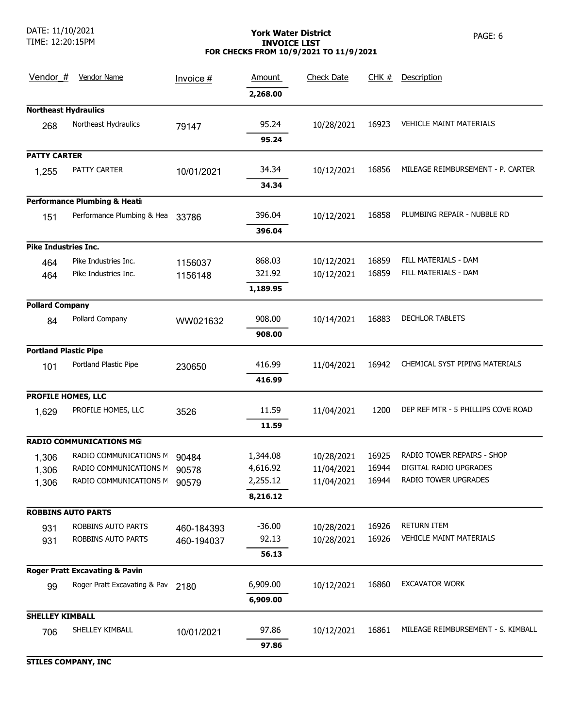DATE: 11/10/2021 TIME: 12:20:15PM

## York Water District **PAGE: 6** PAGE: 6 INVOICE LIST FOR CHECKS FROM 10/9/2021 TO 11/9/2021

| Vendor #                     | <b>Vendor Name</b>                        | Invoice $#$ | <b>Amount</b> | <b>Check Date</b> | <u>CHK #</u> | Description                        |
|------------------------------|-------------------------------------------|-------------|---------------|-------------------|--------------|------------------------------------|
|                              |                                           |             | 2,268.00      |                   |              |                                    |
| <b>Northeast Hydraulics</b>  |                                           |             |               |                   |              |                                    |
| 268                          | Northeast Hydraulics                      | 79147       | 95.24         | 10/28/2021        | 16923        | <b>VEHICLE MAINT MATERIALS</b>     |
|                              |                                           |             | 95.24         |                   |              |                                    |
| <b>PATTY CARTER</b>          |                                           |             |               |                   |              |                                    |
| 1,255                        | PATTY CARTER                              | 10/01/2021  | 34.34         | 10/12/2021        | 16856        | MILEAGE REIMBURSEMENT - P. CARTER  |
|                              |                                           |             | 34.34         |                   |              |                                    |
|                              | Performance Plumbing & Heatir             |             |               |                   |              |                                    |
| 151                          | Performance Plumbing & Hea                | 33786       | 396.04        | 10/12/2021        | 16858        | PLUMBING REPAIR - NUBBLE RD        |
|                              |                                           |             | 396.04        |                   |              |                                    |
| <b>Pike Industries Inc.</b>  |                                           |             |               |                   |              |                                    |
| 464                          | Pike Industries Inc.                      | 1156037     | 868.03        | 10/12/2021        | 16859        | FILL MATERIALS - DAM               |
| 464                          | Pike Industries Inc.                      | 1156148     | 321.92        | 10/12/2021        | 16859        | FILL MATERIALS - DAM               |
|                              |                                           |             | 1,189.95      |                   |              |                                    |
| <b>Pollard Company</b>       |                                           |             |               |                   |              |                                    |
| 84                           | Pollard Company                           | WW021632    | 908.00        | 10/14/2021        | 16883        | <b>DECHLOR TABLETS</b>             |
|                              |                                           |             | 908.00        |                   |              |                                    |
| <b>Portland Plastic Pipe</b> |                                           |             |               |                   |              |                                    |
| 101                          | Portland Plastic Pipe                     | 230650      | 416.99        | 11/04/2021        | 16942        | CHEMICAL SYST PIPING MATERIALS     |
|                              |                                           |             | 416.99        |                   |              |                                    |
| PROFILE HOMES, LLC           |                                           |             |               |                   |              |                                    |
| 1,629                        | PROFILE HOMES, LLC                        | 3526        | 11.59         | 11/04/2021        | 1200         | DEP REF MTR - 5 PHILLIPS COVE ROAD |
|                              |                                           |             | 11.59         |                   |              |                                    |
|                              | <b>RADIO COMMUNICATIONS MG</b>            |             |               |                   |              |                                    |
| 1,306                        | RADIO COMMUNICATIONS M                    | 90484       | 1,344.08      | 10/28/2021        | 16925        | RADIO TOWER REPAIRS - SHOP         |
| 1,306                        | RADIO COMMUNICATIONS M                    | 90578       | 4,616.92      | 11/04/2021        | 16944        | DIGITAL RADIO UPGRADES             |
| 1,306                        | RADIO COMMUNICATIONS N                    | 90579       | 2,255.12      | 11/04/2021        | 16944        | RADIO TOWER UPGRADES               |
|                              |                                           |             | 8,216.12      |                   |              |                                    |
| <b>ROBBINS AUTO PARTS</b>    |                                           |             |               |                   |              |                                    |
| 931                          | ROBBINS AUTO PARTS                        | 460-184393  | $-36.00$      | 10/28/2021        | 16926        | <b>RETURN ITEM</b>                 |
| 931                          | ROBBINS AUTO PARTS                        | 460-194037  | 92.13         | 10/28/2021        | 16926        | VEHICLE MAINT MATERIALS            |
|                              |                                           |             | 56.13         |                   |              |                                    |
|                              | <b>Roger Pratt Excavating &amp; Pavin</b> |             |               |                   |              |                                    |
| 99                           | Roger Pratt Excavating & Pav              | 2180        | 6,909.00      | 10/12/2021        | 16860        | <b>EXCAVATOR WORK</b>              |
|                              |                                           |             | 6,909.00      |                   |              |                                    |
| <b>SHELLEY KIMBALL</b>       |                                           |             |               |                   |              |                                    |
| 706                          | SHELLEY KIMBALL                           | 10/01/2021  | 97.86         | 10/12/2021        | 16861        | MILEAGE REIMBURSEMENT - S. KIMBALL |
|                              |                                           |             | 97.86         |                   |              |                                    |
| <b>STILES COMPANY, INC</b>   |                                           |             |               |                   |              |                                    |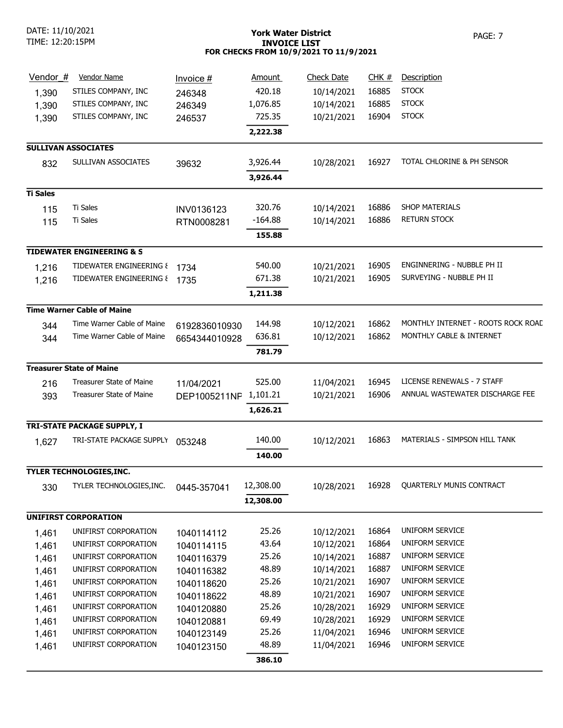## York Water District **PAGE: 7** INVOICE LIST FOR CHECKS FROM 10/9/2021 TO 11/9/2021

| Vendor #                   | <b>Vendor Name</b>                   | Invoice#      | <b>Amount</b>  | <b>Check Date</b> | CHK #          | Description                        |
|----------------------------|--------------------------------------|---------------|----------------|-------------------|----------------|------------------------------------|
| 1,390                      | STILES COMPANY, INC                  | 246348        | 420.18         | 10/14/2021        | 16885          | <b>STOCK</b>                       |
| 1,390                      | STILES COMPANY, INC                  | 246349        | 1,076.85       | 10/14/2021        | 16885          | <b>STOCK</b>                       |
| 1,390                      | STILES COMPANY, INC                  | 246537        | 725.35         | 10/21/2021        | 16904          | <b>STOCK</b>                       |
|                            |                                      |               | 2,222.38       |                   |                |                                    |
| <b>SULLIVAN ASSOCIATES</b> |                                      |               |                |                   |                |                                    |
| 832                        | SULLIVAN ASSOCIATES                  | 39632         | 3,926.44       | 10/28/2021        | 16927          | TOTAL CHLORINE & PH SENSOR         |
|                            |                                      |               | 3,926.44       |                   |                |                                    |
| <b>Ti Sales</b>            |                                      |               |                |                   |                |                                    |
| 115                        | Ti Sales                             | INV0136123    | 320.76         | 10/14/2021        | 16886          | SHOP MATERIALS                     |
| 115                        | Ti Sales                             | RTN0008281    | $-164.88$      | 10/14/2021        | 16886          | <b>RETURN STOCK</b>                |
|                            |                                      |               | 155.88         |                   |                |                                    |
|                            | <b>TIDEWATER ENGINEERING &amp; S</b> |               |                |                   |                |                                    |
| 1,216                      | TIDEWATER ENGINEERING &              | 1734          | 540.00         | 10/21/2021        | 16905          | ENGINNERING - NUBBLE PH II         |
| 1,216                      | TIDEWATER ENGINEERING &              | 1735          | 671.38         | 10/21/2021        | 16905          | SURVEYING - NUBBLE PH II           |
|                            |                                      |               | 1,211.38       |                   |                |                                    |
|                            | <b>Time Warner Cable of Maine</b>    |               |                |                   |                |                                    |
| 344                        | Time Warner Cable of Maine           | 6192836010930 | 144.98         | 10/12/2021        | 16862          | MONTHLY INTERNET - ROOTS ROCK ROAD |
| 344                        | Time Warner Cable of Maine           | 6654344010928 | 636.81         | 10/12/2021        | 16862          | MONTHLY CABLE & INTERNET           |
|                            |                                      |               | 781.79         |                   |                |                                    |
|                            | <b>Treasurer State of Maine</b>      |               |                |                   |                |                                    |
| 216                        | Treasurer State of Maine             | 11/04/2021    | 525.00         | 11/04/2021        | 16945          | LICENSE RENEWALS - 7 STAFF         |
| 393                        | <b>Treasurer State of Maine</b>      | DEP1005211NP  | 1,101.21       | 10/21/2021        | 16906          | ANNUAL WASTEWATER DISCHARGE FEE    |
|                            |                                      |               | 1,626.21       |                   |                |                                    |
|                            | <b>TRI-STATE PACKAGE SUPPLY, I</b>   |               |                |                   |                |                                    |
| 1,627                      | TRI-STATE PACKAGE SUPPLY             | 053248        | 140.00         | 10/12/2021        | 16863          | MATERIALS - SIMPSON HILL TANK      |
|                            |                                      |               | 140.00         |                   |                |                                    |
|                            | TYLER TECHNOLOGIES, INC.             |               |                |                   |                |                                    |
| 330                        | TYLER TECHNOLOGIES, INC.             | 0445-357041   | 12,308.00      | 10/28/2021        | 16928          | QUARTERLY MUNIS CONTRACT           |
|                            |                                      |               | 12,308.00      |                   |                |                                    |
|                            | <b>UNIFIRST CORPORATION</b>          |               |                |                   |                |                                    |
|                            |                                      |               |                |                   |                | UNIFORM SERVICE                    |
| 1,461                      | UNIFIRST CORPORATION                 | 1040114112    | 25.26<br>43.64 | 10/12/2021        | 16864<br>16864 | UNIFORM SERVICE                    |
| 1,461                      | UNIFIRST CORPORATION                 | 1040114115    |                | 10/12/2021        |                | UNIFORM SERVICE                    |
| 1,461                      | UNIFIRST CORPORATION                 | 1040116379    | 25.26          | 10/14/2021        | 16887          |                                    |
| 1,461                      | UNIFIRST CORPORATION                 | 1040116382    | 48.89          | 10/14/2021        | 16887          | UNIFORM SERVICE                    |
| 1,461                      | UNIFIRST CORPORATION                 | 1040118620    | 25.26          | 10/21/2021        | 16907          | <b>UNIFORM SERVICE</b>             |
| 1,461                      | UNIFIRST CORPORATION                 | 1040118622    | 48.89          | 10/21/2021        | 16907          | UNIFORM SERVICE                    |
| 1,461                      | UNIFIRST CORPORATION                 | 1040120880    | 25.26          | 10/28/2021        | 16929          | UNIFORM SERVICE                    |
| 1,461                      | UNIFIRST CORPORATION                 | 1040120881    | 69.49          | 10/28/2021        | 16929          | UNIFORM SERVICE                    |
| 1,461                      | UNIFIRST CORPORATION                 | 1040123149    | 25.26          | 11/04/2021        | 16946          | UNIFORM SERVICE                    |
| 1,461                      | UNIFIRST CORPORATION                 | 1040123150    | 48.89          | 11/04/2021        | 16946          | UNIFORM SERVICE                    |
|                            |                                      |               | 386.10         |                   |                |                                    |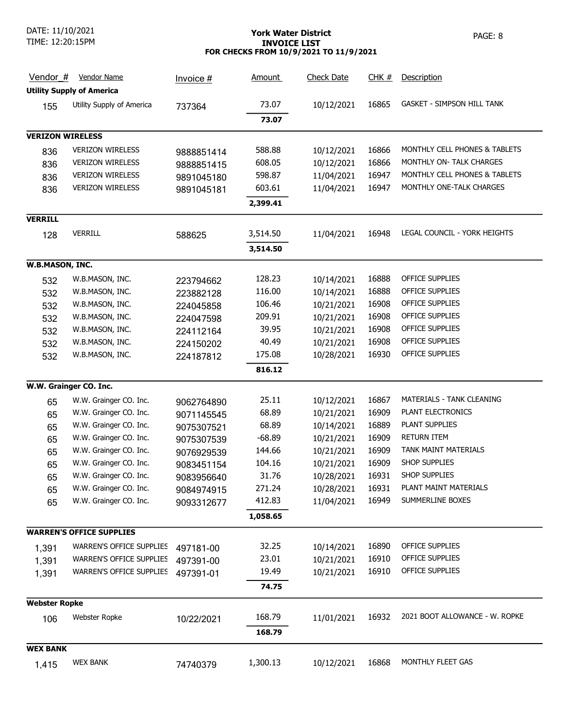DATE: 11/10/2021 TIME: 12:20:15PM

# York Water District **PAGE: 8** INVOICE LIST FOR CHECKS FROM 10/9/2021 TO 11/9/2021

| Vendor $#$              | <b>Vendor Name</b>               | Invoice #  | <u>Amount</u> | <b>Check Date</b> | CHK#  | Description                       |
|-------------------------|----------------------------------|------------|---------------|-------------------|-------|-----------------------------------|
|                         | <b>Utility Supply of America</b> |            |               |                   |       |                                   |
| 155                     | Utility Supply of America        | 737364     | 73.07         | 10/12/2021        | 16865 | <b>GASKET - SIMPSON HILL TANK</b> |
|                         |                                  |            | 73.07         |                   |       |                                   |
| <b>VERIZON WIRELESS</b> |                                  |            |               |                   |       |                                   |
| 836                     | <b>VERIZON WIRELESS</b>          | 9888851414 | 588.88        | 10/12/2021        | 16866 | MONTHLY CELL PHONES & TABLETS     |
| 836                     | <b>VERIZON WIRELESS</b>          | 9888851415 | 608.05        | 10/12/2021        | 16866 | MONTHLY ON- TALK CHARGES          |
| 836                     | <b>VERIZON WIRELESS</b>          | 9891045180 | 598.87        | 11/04/2021        | 16947 | MONTHLY CELL PHONES & TABLETS     |
| 836                     | <b>VERIZON WIRELESS</b>          | 9891045181 | 603.61        | 11/04/2021        | 16947 | MONTHLY ONE-TALK CHARGES          |
|                         |                                  |            | 2,399.41      |                   |       |                                   |
| <b>VERRILL</b>          |                                  |            |               |                   |       |                                   |
| 128                     | <b>VERRILL</b>                   | 588625     | 3,514.50      | 11/04/2021        | 16948 | LEGAL COUNCIL - YORK HEIGHTS      |
|                         |                                  |            | 3,514.50      |                   |       |                                   |
| W.B.MASON, INC.         |                                  |            |               |                   |       |                                   |
| 532                     | W.B.MASON, INC.                  | 223794662  | 128.23        | 10/14/2021        | 16888 | <b>OFFICE SUPPLIES</b>            |
| 532                     | W.B.MASON, INC.                  | 223882128  | 116.00        | 10/14/2021        | 16888 | <b>OFFICE SUPPLIES</b>            |
| 532                     | W.B.MASON, INC.                  | 224045858  | 106.46        | 10/21/2021        | 16908 | OFFICE SUPPLIES                   |
| 532                     | W.B.MASON, INC.                  | 224047598  | 209.91        | 10/21/2021        | 16908 | OFFICE SUPPLIES                   |
| 532                     | W.B.MASON, INC.                  | 224112164  | 39.95         | 10/21/2021        | 16908 | OFFICE SUPPLIES                   |
| 532                     | W.B.MASON, INC.                  | 224150202  | 40.49         | 10/21/2021        | 16908 | OFFICE SUPPLIES                   |
| 532                     | W.B.MASON, INC.                  | 224187812  | 175.08        | 10/28/2021        | 16930 | OFFICE SUPPLIES                   |
|                         |                                  |            | 816.12        |                   |       |                                   |
|                         | W.W. Grainger CO. Inc.           |            |               |                   |       |                                   |
| 65                      | W.W. Grainger CO. Inc.           | 9062764890 | 25.11         | 10/12/2021        | 16867 | MATERIALS - TANK CLEANING         |
| 65                      | W.W. Grainger CO. Inc.           | 9071145545 | 68.89         | 10/21/2021        | 16909 | PLANT ELECTRONICS                 |
| 65                      | W.W. Grainger CO. Inc.           | 9075307521 | 68.89         | 10/14/2021        | 16889 | PLANT SUPPLIES                    |
| 65                      | W.W. Grainger CO. Inc.           | 9075307539 | $-68.89$      | 10/21/2021        | 16909 | <b>RETURN ITEM</b>                |
| 65                      | W.W. Grainger CO. Inc.           | 9076929539 | 144.66        | 10/21/2021        | 16909 | TANK MAINT MATERIALS              |
| 65                      | W.W. Grainger CO. Inc.           | 9083451154 | 104.16        | 10/21/2021        | 16909 | SHOP SUPPLIES                     |
| 65                      | W.W. Grainger CO. Inc.           | 9083956640 | 31.76         | 10/28/2021        | 16931 | SHOP SUPPLIES                     |
| 65                      | W.W. Grainger CO. Inc.           | 9084974915 | 271.24        | 10/28/2021        | 16931 | PLANT MAINT MATERIALS             |
| 65                      | W.W. Grainger CO. Inc.           | 9093312677 | 412.83        | 11/04/2021        | 16949 | SUMMERLINE BOXES                  |
|                         |                                  |            | 1,058.65      |                   |       |                                   |
|                         | <b>WARREN'S OFFICE SUPPLIES</b>  |            |               |                   |       |                                   |
|                         | WARREN'S OFFICE SUPPLIES         | 497181-00  | 32.25         | 10/14/2021        | 16890 | OFFICE SUPPLIES                   |
| 1,391                   | WARREN'S OFFICE SUPPLIES         |            | 23.01         | 10/21/2021        | 16910 | OFFICE SUPPLIES                   |
| 1,391                   | <b>WARREN'S OFFICE SUPPLIES</b>  | 497391-00  | 19.49         |                   | 16910 | OFFICE SUPPLIES                   |
| 1,391                   |                                  | 497391-01  |               | 10/21/2021        |       |                                   |
|                         |                                  |            | 74.75         |                   |       |                                   |
| <b>Webster Ropke</b>    |                                  |            |               |                   |       |                                   |
| 106                     | Webster Ropke                    | 10/22/2021 | 168.79        | 11/01/2021        | 16932 | 2021 BOOT ALLOWANCE - W. ROPKE    |
|                         |                                  |            | 168.79        |                   |       |                                   |
| <b>WEX BANK</b>         |                                  |            |               |                   |       |                                   |
| 1,415                   | <b>WEX BANK</b>                  | 74740379   | 1,300.13      | 10/12/2021        | 16868 | MONTHLY FLEET GAS                 |